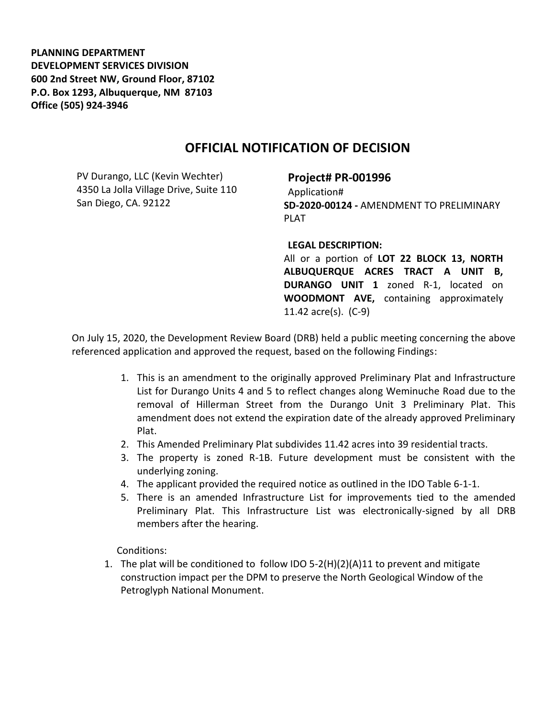**PLANNING DEPARTMENT DEVELOPMENT SERVICES DIVISION 600 2nd Street NW, Ground Floor, 87102 P.O. Box 1293, Albuquerque, NM 87103 Office (505) 924-3946** 

## **OFFICIAL NOTIFICATION OF DECISION**

PV Durango, LLC (Kevin Wechter) 4350 La Jolla Village Drive, Suite 110 San Diego, CA. 92122

## **Project# PR-001996**

Application# **SD-2020-00124 -** AMENDMENT TO PRELIMINARY PLAT

## **LEGAL DESCRIPTION:**

All or a portion of **LOT 22 BLOCK 13, NORTH ALBUQUERQUE ACRES TRACT A UNIT B, DURANGO UNIT 1** zoned R-1, located on **WOODMONT AVE,** containing approximately 11.42 acre(s). (C-9)

On July 15, 2020, the Development Review Board (DRB) held a public meeting concerning the above referenced application and approved the request, based on the following Findings:

- 1. This is an amendment to the originally approved Preliminary Plat and Infrastructure List for Durango Units 4 and 5 to reflect changes along Weminuche Road due to the removal of Hillerman Street from the Durango Unit 3 Preliminary Plat. This amendment does not extend the expiration date of the already approved Preliminary Plat.
- 2. This Amended Preliminary Plat subdivides 11.42 acres into 39 residential tracts.
- 3. The property is zoned R-1B. Future development must be consistent with the underlying zoning.
- 4. The applicant provided the required notice as outlined in the IDO Table 6-1-1.
- 5. There is an amended Infrastructure List for improvements tied to the amended Preliminary Plat. This Infrastructure List was electronically-signed by all DRB members after the hearing.

Conditions:

1. The plat will be conditioned to follow IDO 5-2(H)(2)(A)11 to prevent and mitigate construction impact per the DPM to preserve the North Geological Window of the Petroglyph National Monument.